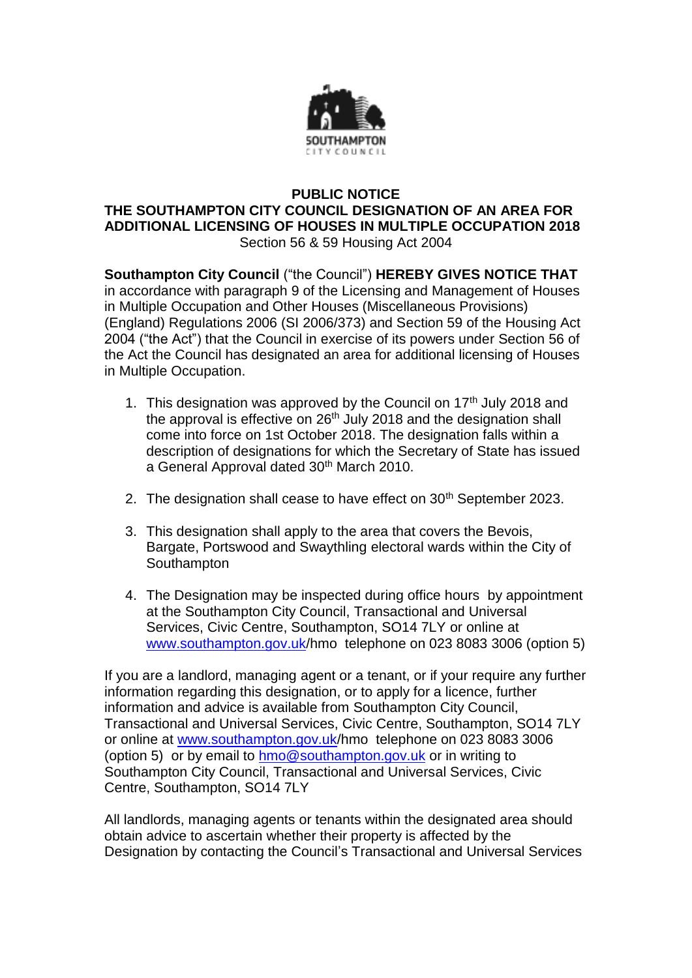

## **PUBLIC NOTICE THE SOUTHAMPTON CITY COUNCIL DESIGNATION OF AN AREA FOR ADDITIONAL LICENSING OF HOUSES IN MULTIPLE OCCUPATION 2018** Section 56 & 59 Housing Act 2004

**Southampton City Council** ("the Council") **HEREBY GIVES NOTICE THAT** in accordance with paragraph 9 of the Licensing and Management of Houses in Multiple Occupation and Other Houses (Miscellaneous Provisions) (England) Regulations 2006 (SI 2006/373) and Section 59 of the Housing Act 2004 ("the Act") that the Council in exercise of its powers under Section 56 of the Act the Council has designated an area for additional licensing of Houses in Multiple Occupation.

- 1. This designation was approved by the Council on  $17<sup>th</sup>$  July 2018 and the approval is effective on 26<sup>th</sup> July 2018 and the designation shall come into force on 1st October 2018. The designation falls within a description of designations for which the Secretary of State has issued a General Approval dated 30<sup>th</sup> March 2010.
- 2. The designation shall cease to have effect on 30<sup>th</sup> September 2023.
- 3. This designation shall apply to the area that covers the Bevois, Bargate, Portswood and Swaythling electoral wards within the City of Southampton
- 4. The Designation may be inspected during office hours by appointment at the Southampton City Council, Transactional and Universal Services, Civic Centre, Southampton, SO14 7LY or online at [www.southampton.gov.uk/](http://www.southampton.gov.uk/)hmo telephone on 023 8083 3006 (option 5)

If you are a landlord, managing agent or a tenant, or if your require any further information regarding this designation, or to apply for a licence, further information and advice is available from Southampton City Council, Transactional and Universal Services, Civic Centre, Southampton, SO14 7LY or online at [www.southampton.gov.uk/](http://www.southampton.gov.uk/)hmo telephone on 023 8083 3006 (option 5) or by email to [hmo@southampton.gov.uk](mailto:HMO@southampton.gov.uk) or in writing to Southampton City Council, Transactional and Universal Services, Civic Centre, Southampton, SO14 7LY

All landlords, managing agents or tenants within the designated area should obtain advice to ascertain whether their property is affected by the Designation by contacting the Council's Transactional and Universal Services